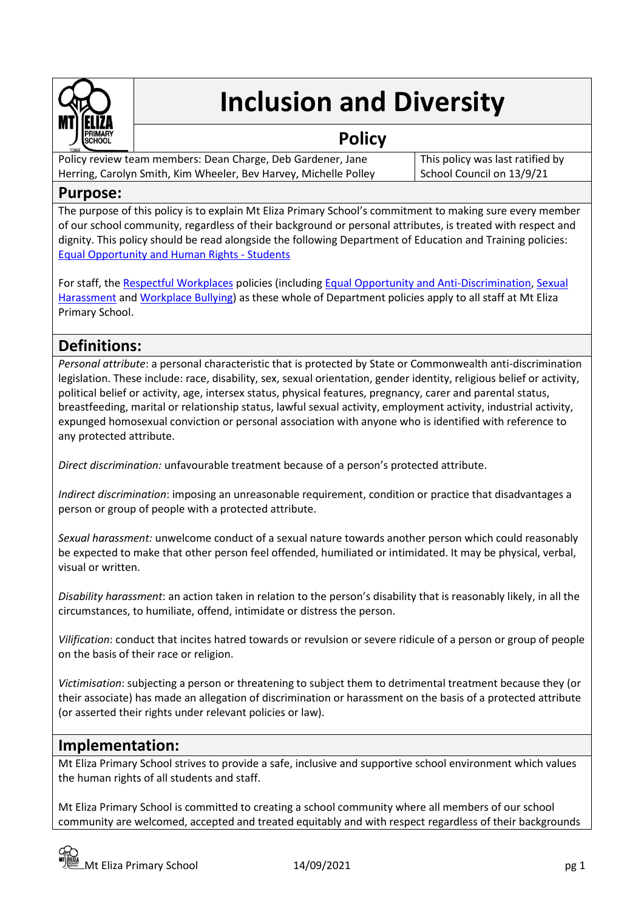

# **Inclusion and Diversity**

## **Policy**

Policy review team members: Dean Charge, Deb Gardener, Jane Herring, Carolyn Smith, Kim Wheeler, Bev Harvey, Michelle Polley This policy was last ratified by School Council on 13/9/21

## **Purpose:**

The purpose of this policy is to explain Mt Eliza Primary School's commitment to making sure every member of our school community, regardless of their background or personal attributes, is treated with respect and dignity. This policy should be read alongside the following Department of Education and Training policies: [Equal Opportunity and Human Rights -](https://www2.education.vic.gov.au/pal/equal-opportunity-human-rights-students/policy) Students

For staff, the [Respectful Workplaces](https://www2.education.vic.gov.au/pal/respectful-workplaces/overview) policies (includin[g Equal Opportunity and Anti-Discrimination,](https://www2.education.vic.gov.au/pal/equal-opportunity/overview) [Sexual](https://www2.education.vic.gov.au/pal/sexual-harassment/overview)  [Harassment](https://www2.education.vic.gov.au/pal/sexual-harassment/overview) an[d Workplace Bullying\)](https://www2.education.vic.gov.au/pal/workplace-bullying/policy) as these whole of Department policies apply to all staff at Mt Eliza Primary School.

## **Definitions:**

*Personal attribute*: a personal characteristic that is protected by State or Commonwealth anti-discrimination legislation. These include: race, disability, sex, sexual orientation, gender identity, religious belief or activity, political belief or activity, age, intersex status, physical features, pregnancy, carer and parental status, breastfeeding, marital or relationship status, lawful sexual activity, employment activity, industrial activity, expunged homosexual conviction or personal association with anyone who is identified with reference to any protected attribute.

*Direct discrimination:* unfavourable treatment because of a person's protected attribute.

*Indirect discrimination*: imposing an unreasonable requirement, condition or practice that disadvantages a person or group of people with a protected attribute.

*Sexual harassment:* unwelcome conduct of a sexual nature towards another person which could reasonably be expected to make that other person feel offended, humiliated or intimidated. It may be physical, verbal, visual or written.

*Disability harassment*: an action taken in relation to the person's disability that is reasonably likely, in all the circumstances, to humiliate, offend, intimidate or distress the person.

*Vilification*: conduct that incites hatred towards or revulsion or severe ridicule of a person or group of people on the basis of their race or religion.

*Victimisation*: subjecting a person or threatening to subject them to detrimental treatment because they (or their associate) has made an allegation of discrimination or harassment on the basis of a protected attribute (or asserted their rights under relevant policies or law).

## **Implementation:**

Mt Eliza Primary School strives to provide a safe, inclusive and supportive school environment which values the human rights of all students and staff.

Mt Eliza Primary School is committed to creating a school community where all members of our school community are welcomed, accepted and treated equitably and with respect regardless of their backgrounds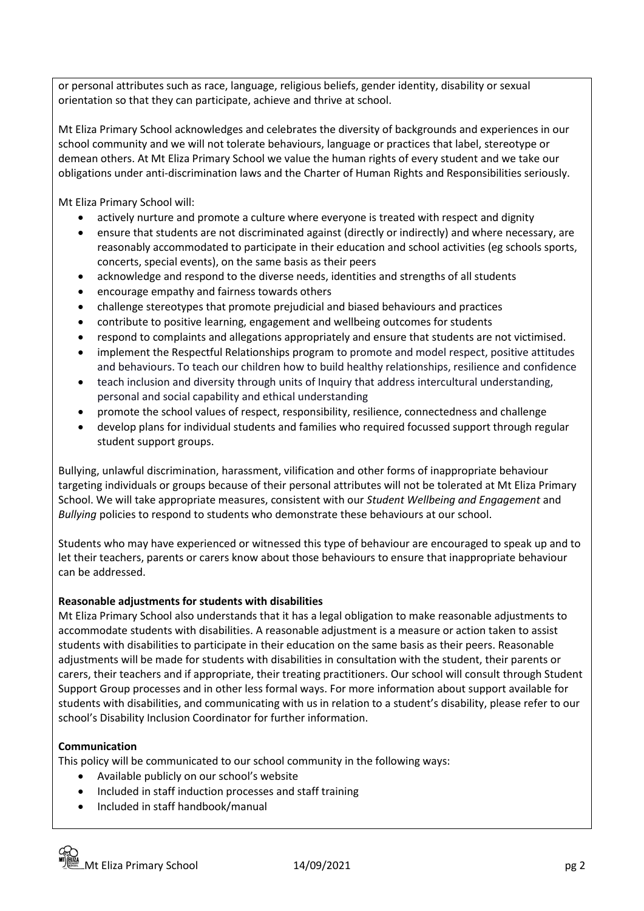or personal attributes such as race, language, religious beliefs, gender identity, disability or sexual orientation so that they can participate, achieve and thrive at school.

Mt Eliza Primary School acknowledges and celebrates the diversity of backgrounds and experiences in our school community and we will not tolerate behaviours, language or practices that label, stereotype or demean others. At Mt Eliza Primary School we value the human rights of every student and we take our obligations under anti-discrimination laws and the Charter of Human Rights and Responsibilities seriously.

Mt Eliza Primary School will:

- actively nurture and promote a culture where everyone is treated with respect and dignity
- ensure that students are not discriminated against (directly or indirectly) and where necessary, are reasonably accommodated to participate in their education and school activities (eg schools sports, concerts, special events), on the same basis as their peers
- acknowledge and respond to the diverse needs, identities and strengths of all students
- encourage empathy and fairness towards others
- challenge stereotypes that promote prejudicial and biased behaviours and practices
- contribute to positive learning, engagement and wellbeing outcomes for students
- respond to complaints and allegations appropriately and ensure that students are not victimised.
- implement the Respectful Relationships program to promote and model respect, positive attitudes and behaviours. To teach our children how to build healthy relationships, resilience and confidence
- teach inclusion and diversity through units of Inquiry that address intercultural understanding, personal and social capability and ethical understanding
- promote the school values of respect, responsibility, resilience, connectedness and challenge
- develop plans for individual students and families who required focussed support through regular student support groups.

Bullying, unlawful discrimination, harassment, vilification and other forms of inappropriate behaviour targeting individuals or groups because of their personal attributes will not be tolerated at Mt Eliza Primary School. We will take appropriate measures, consistent with our *Student Wellbeing and Engagement* and *Bullying* policies to respond to students who demonstrate these behaviours at our school.

Students who may have experienced or witnessed this type of behaviour are encouraged to speak up and to let their teachers, parents or carers know about those behaviours to ensure that inappropriate behaviour can be addressed.

#### **Reasonable adjustments for students with disabilities**

Mt Eliza Primary School also understands that it has a legal obligation to make reasonable adjustments to accommodate students with disabilities. A reasonable adjustment is a measure or action taken to assist students with disabilities to participate in their education on the same basis as their peers. Reasonable adjustments will be made for students with disabilities in consultation with the student, their parents or carers, their teachers and if appropriate, their treating practitioners. Our school will consult through Student Support Group processes and in other less formal ways. For more information about support available for students with disabilities, and communicating with us in relation to a student's disability, please refer to our school's Disability Inclusion Coordinator for further information.

#### **Communication**

This policy will be communicated to our school community in the following ways:

- Available publicly on our school's website
- Included in staff induction processes and staff training
- Included in staff handbook/manual